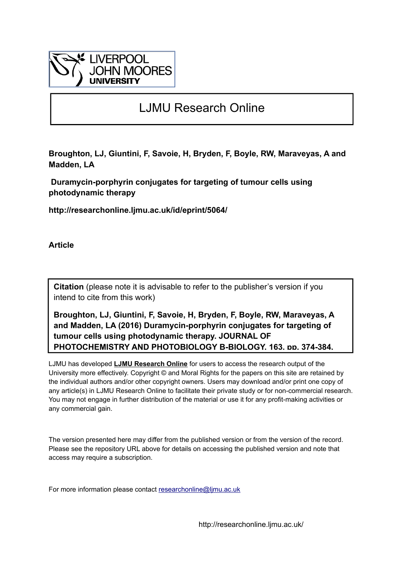

# LJMU Research Online

**Broughton, LJ, Giuntini, F, Savoie, H, Bryden, F, Boyle, RW, Maraveyas, A and Madden, LA**

 **Duramycin-porphyrin conjugates for targeting of tumour cells using photodynamic therapy**

**http://researchonline.ljmu.ac.uk/id/eprint/5064/**

**Article**

**Citation** (please note it is advisable to refer to the publisher's version if you intend to cite from this work)

**Broughton, LJ, Giuntini, F, Savoie, H, Bryden, F, Boyle, RW, Maraveyas, A and Madden, LA (2016) Duramycin-porphyrin conjugates for targeting of tumour cells using photodynamic therapy. JOURNAL OF PHOTOCHEMISTRY AND PHOTOBIOLOGY B-BIOLOGY, 163. pp. 374-384.** 

LJMU has developed **[LJMU Research Online](http://researchonline.ljmu.ac.uk/)** for users to access the research output of the University more effectively. Copyright © and Moral Rights for the papers on this site are retained by the individual authors and/or other copyright owners. Users may download and/or print one copy of any article(s) in LJMU Research Online to facilitate their private study or for non-commercial research. You may not engage in further distribution of the material or use it for any profit-making activities or any commercial gain.

The version presented here may differ from the published version or from the version of the record. Please see the repository URL above for details on accessing the published version and note that access may require a subscription.

For more information please contact researchonline@limu.ac.uk

http://researchonline.ljmu.ac.uk/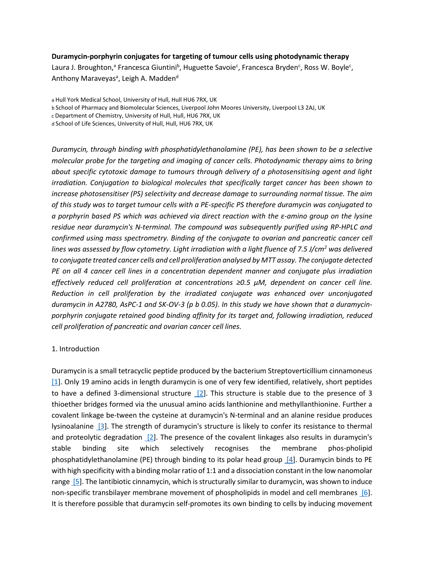### **Duramycin-porphyrin conjugates for targeting of tumour cells using photodynamic therapy**

Laura J. Broughton,<sup>a</sup> Francesca Giuntini<sup>b</sup>, Huguette Savoie<sup>c</sup>, Francesca Bryden<sup>c</sup>, Ross W. Boyle<sup>c</sup>, Anthony Maraveyas<sup>a</sup>, Leigh A. Madden<sup>d</sup>

a Hull York Medical School, University of Hull, Hull HU6 7RX, UK b School of Pharmacy and Biomolecular Sciences, Liverpool John Moores University, Liverpool L3 2AJ, UK c Department of Chemistry, University of Hull, Hull, HU6 7RX, UK

d School of Life Sciences, University of Hull, Hull, HU6 7RX, UK

*Duramycin, through binding with phosphatidylethanolamine (PE), has been shown to be a selective molecular probe for the targeting and imaging of cancer cells. Photodynamic therapy aims to bring about specific cytotoxic damage to tumours through delivery of a photosensitising agent and light irradiation. Conjugation to biological molecules that specifically target cancer has been shown to increase photosensitiser (PS) selectivity and decrease damage to surrounding normal tissue. The aim of this study was to target tumour cells with a PE-specific PS therefore duramycin was conjugated to a porphyrin based PS which was achieved via direct reaction with the ε-amino group on the lysine residue near duramycin's N-terminal. The compound was subsequently purified using RP-HPLC and confirmed using mass spectrometry. Binding of the conjugate to ovarian and pancreatic cancer cell lines was assessed by flow cytometry. Light irradiation with a light fluence of 7.5 J/cm2 was delivered to conjugate treated cancer cells and cell proliferation analysed by MTT assay. The conjugate detected PE on all 4 cancer cell lines in a concentration dependent manner and conjugate plus irradiation effectively reduced cell proliferation at concentrations ≥0.5 μM, dependent on cancer cell line. Reduction in cell proliferation by the irradiated conjugate was enhanced over unconjugated duramycin in A2780, AsPC-1 and SK-OV-3 (p b 0.05). In this study we have shown that a duramycinporphyrin conjugate retained good binding affinity for its target and, following irradiation, reduced cell proliferation of pancreatic and ovarian cancer cell lines.*

## 1. Introduction

Duramycin is a small tetracyclic peptide produced by the bacterium Streptoverticillium cinnamoneus [1]. Only 19 amino acids in length duramycin is one of very few identified, relatively, short peptides to have a defined 3-dimensional structure [2]. This structure is stable due to the presence of 3 thioether bridges formed via the unusual amino acids lanthionine and methyllanthionine. Further a covalent linkage be-tween the cysteine at duramycin's N-terminal and an alanine residue produces lysinoalanine [3]. The strength of duramycin's structure is likely to confer its resistance to thermal and proteolytic degradation  $[2]$ . The presence of the covalent linkages also results in duramycin's stable binding site which selectively recognises the membrane phos-pholipid phosphatidylethanolamine (PE) through binding to its polar head group [4]. Duramycin binds to PE with high specificity with a binding molar ratio of 1:1 and a dissociation constant in the low nanomolar range [5]. The lantibiotic cinnamycin, which is structurally similar to duramycin, was shown to induce non-specific transbilayer membrane movement of phospholipids in model and cell membranes [6]. It is therefore possible that duramycin self-promotes its own binding to cells by inducing movement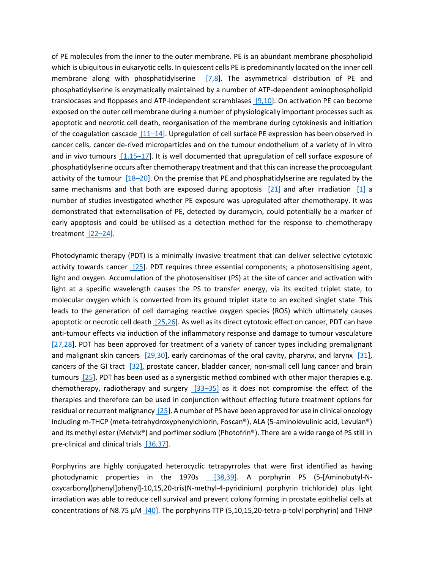of PE molecules from the inner to the outer membrane. PE is an abundant membrane phospholipid which is ubiquitous in eukaryotic cells. In quiescent cells PE is predominantly located on the inner cell membrane along with phosphatidylserine [7,8]. The asymmetrical distribution of PE and phosphatidylserine is enzymatically maintained by a number of ATP-dependent aminophospholipid translocases and floppases and ATP-independent scramblases [9,10]. On activation PE can become exposed on the outer cell membrane during a number of physiologically important processes such as apoptotic and necrotic cell death, reorganisation of the membrane during cytokinesis and initiation of the coagulation cascade [11–14]. Upregulation of cell surface PE expression has been observed in cancer cells, cancer de-rived microparticles and on the tumour endothelium of a variety of in vitro and in vivo tumours [1,15–17]. It is well documented that upregulation of cell surface exposure of phosphatidylserine occurs after chemotherapy treatment and that this can increase the procoagulant activity of the tumour [18–20]. On the premise that PE and phosphatidylserine are regulated by the same mechanisms and that both are exposed during apoptosis  $[21]$  and after irradiation  $[1]$  a number of studies investigated whether PE exposure was upregulated after chemotherapy. It was demonstrated that externalisation of PE, detected by duramycin, could potentially be a marker of early apoptosis and could be utilised as a detection method for the response to chemotherapy treatment [22-24].

Photodynamic therapy (PDT) is a minimally invasive treatment that can deliver selective cytotoxic activity towards cancer [25]. PDT requires three essential components; a photosensitising agent, light and oxygen. Accumulation of the photosensitiser (PS) at the site of cancer and activation with light at a specific wavelength causes the PS to transfer energy, via its excited triplet state, to molecular oxygen which is converted from its ground triplet state to an excited singlet state. This leads to the generation of cell damaging reactive oxygen species (ROS) which ultimately causes apoptotic or necrotic cell death [25,26]. As well as its direct cytotoxic effect on cancer, PDT can have anti-tumour effects via induction of the inflammatory response and damage to tumour vasculature [27,28]. PDT has been approved for treatment of a variety of cancer types including premalignant and malignant skin cancers [29,30], early carcinomas of the oral cavity, pharynx, and larynx [31], cancers of the GI tract [32], prostate cancer, bladder cancer, non-small cell lung cancer and brain tumours [25]. PDT has been used as a synergistic method combined with other major therapies e.g. chemotherapy, radiotherapy and surgery  $[33-35]$  as it does not compromise the effect of the therapies and therefore can be used in conjunction without effecting future treatment options for residual or recurrent malignancy [25]. A number of PS have been approved for use in clinical oncology including m-THCP (meta-tetrahydroxyphenylchlorin, Foscan®), ALA (5-aminolevulinic acid, Levulan®) and its methyl ester (Metvix®) and porfimer sodium (Photofrin®). There are a wide range of PS still in pre-clinical and clinical trials [36,37].

Porphyrins are highly conjugated heterocyclic tetrapyrroles that were first identified as having photodynamic properties in the 1970s [38,39]. A porphyrin PS (5-[Aminobutyl-Noxycarbonyl)phenyl]phenyl]-10,15,20-tris(N-methyl-4-pyridinium) porphyrin trichloride) plus light irradiation was able to reduce cell survival and prevent colony forming in prostate epithelial cells at concentrations of N8.75 μM [40]. The porphyrins TTP (5,10,15,20-tetra-p-tolyl porphyrin) and THNP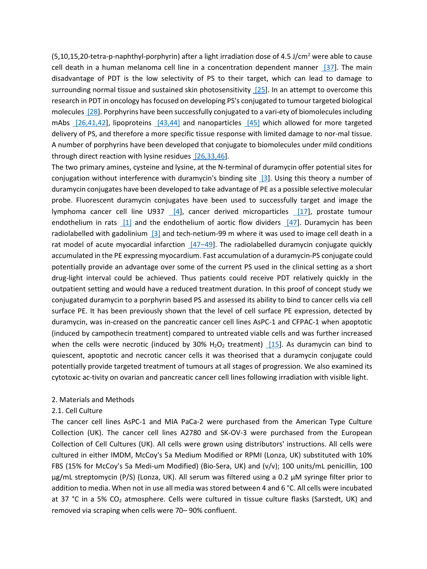$(5,10,15,20$ -tetra-p-naphthyl-porphyrin) after a light irradiation dose of 4.5 J/cm<sup>2</sup> were able to cause cell death in a human melanoma cell line in a concentration dependent manner [37]. The main disadvantage of PDT is the low selectivity of PS to their target, which can lead to damage to surrounding normal tissue and sustained skin photosensitivity [25]. In an attempt to overcome this research in PDT in oncology has focused on developing PS's conjugated to tumour targeted biological molecules [28]. Porphyrins have been successfully conjugated to a vari-ety of biomolecules including mAbs [26,41,42], lipoproteins [43,44] and nanoparticles [45] which allowed for more targeted delivery of PS, and therefore a more specific tissue response with limited damage to nor-mal tissue. A number of porphyrins have been developed that conjugate to biomolecules under mild conditions through direct reaction with lysine residues [26,33,46].

The two primary amines, cysteine and lysine, at the N-terminal of duramycin offer potential sites for conjugation without interference with duramycin's binding site [3]. Using this theory a number of duramycin conjugates have been developed to take advantage of PE as a possible selective molecular probe. Fluorescent duramycin conjugates have been used to successfully target and image the lymphoma cancer cell line U937 [4], cancer derived microparticles [17], prostate tumour endothelium in rats  $\begin{bmatrix} 1 \end{bmatrix}$  and the endothelium of aortic flow dividers  $\begin{bmatrix} 47 \end{bmatrix}$ . Duramycin has been radiolabelled with gadolinium [3] and tech-netium-99 m where it was used to image cell death in a rat model of acute myocardial infarction  $[47-49]$ . The radiolabelled duramycin conjugate quickly accumulated in the PE expressing myocardium. Fast accumulation of a duramycin-PS conjugate could potentially provide an advantage over some of the current PS used in the clinical setting as a short drug-light interval could be achieved. Thus patients could receive PDT relatively quickly in the outpatient setting and would have a reduced treatment duration. In this proof of concept study we conjugated duramycin to a porphyrin based PS and assessed its ability to bind to cancer cells via cell surface PE. It has been previously shown that the level of cell surface PE expression, detected by duramycin, was in-creased on the pancreatic cancer cell lines AsPC-1 and CFPAC-1 when apoptotic (induced by campothecin treatment) compared to untreated viable cells and was further increased when the cells were necrotic (induced by  $30\%$  H<sub>2</sub>O<sub>2</sub> treatment) [15]. As duramycin can bind to quiescent, apoptotic and necrotic cancer cells it was theorised that a duramycin conjugate could potentially provide targeted treatment of tumours at all stages of progression. We also examined its cytotoxic ac-tivity on ovarian and pancreatic cancer cell lines following irradiation with visible light.

## 2. Materials and Methods

#### 2.1. Cell Culture

The cancer cell lines AsPC-1 and MIA PaCa-2 were purchased from the American Type Culture Collection (UK). The cancer cell lines A2780 and SK-OV-3 were purchased from the European Collection of Cell Cultures (UK). All cells were grown using distributors' instructions. All cells were cultured in either IMDM, McCoy's 5a Medium Modified or RPMI (Lonza, UK) substituted with 10% FBS (15% for McCoy's 5a Medi-um Modified) (Bio-Sera, UK) and (v/v); 100 units/mL penicillin, 100 μg/mL streptomycin (P/S) (Lonza, UK). All serum was filtered using a 0.2 μM syringe filter prior to addition to media. When not in use all media was stored between 4 and 6 °C. All cells were incubated at 37 °C in a 5% CO<sub>2</sub> atmosphere. Cells were cultured in tissue culture flasks (Sarstedt, UK) and removed via scraping when cells were 70– 90% confluent.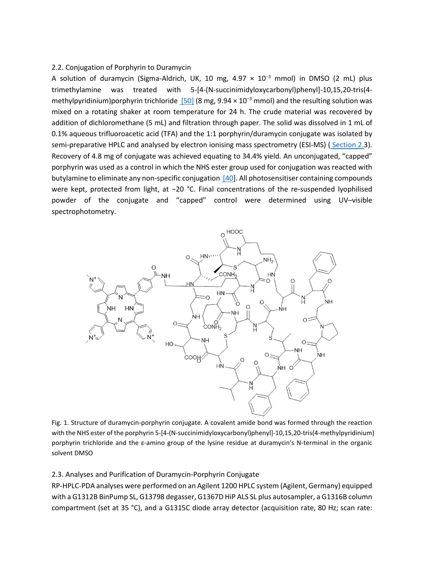### 2.2. Conjugation of Porphyrin to Duramycin

A solution of duramycin (Sigma-Aldrich, UK, 10 mg,  $4.97 \times 10^{-3}$  mmol) in DMSO (2 mL) plus trimethylamine was treated with 5-[4-(N-succinimidyloxycarbonyl)phenyl]-10,15,20-tris(4 methylpyridinium)porphyrin trichloride  $[50]$  (8 mg, 9.94 × 10<sup>-3</sup> mmol) and the resulting solution was mixed on a rotating shaker at room temperature for 24 h. The crude material was recovered by addition of dichloromethane (5 mL) and filtration through paper. The solid was dissolved in 1 mL of 0.1% aqueous trifluoroacetic acid (TFA) and the 1:1 porphyrin/duramycin conjugate was isolated by semi-preparative HPLC and analysed by electron ionising mass spectrometry (ESI-MS) (Section 2.3). Recovery of 4.8 mg of conjugate was achieved equating to 34.4% yield. An unconjugated, "capped" porphyrin was used as a control in which the NHS ester group used for conjugation was reacted with butylamine to eliminate any non-specific conjugation [40]. All photosensitiser containing compounds were kept, protected from light, at −20 °C. Final concentrations of the re-suspended lyophilised powder of the conjugate and "capped" control were determined using UV–visible spectrophotometry.



Fig. 1. Structure of duramycin-porphyrin conjugate. A covalent amide bond was formed through the reaction with the NHS ester of the porphyrin 5-[4-(N-succinimidyloxycarbonyl)phenyl]-10,15,20-tris(4-methylpyridinium) porphyrin trichloride and the ε-amino group of the lysine residue at duramycin's N-terminal in the organic solvent DMSO

## 2.3. Analyses and Purification of Duramycin-Porphyrin Conjugate

RP-HPLC-PDA analyses were performed on an Agilent 1200 HPLC system (Agilent, Germany) equipped with a G1312B BinPump SL, G13798 degasser, G1367D HiP ALS SL plus autosampler, a G1316B column compartment (set at 35 °C), and a G1315C diode array detector (acquisition rate, 80 Hz; scan rate: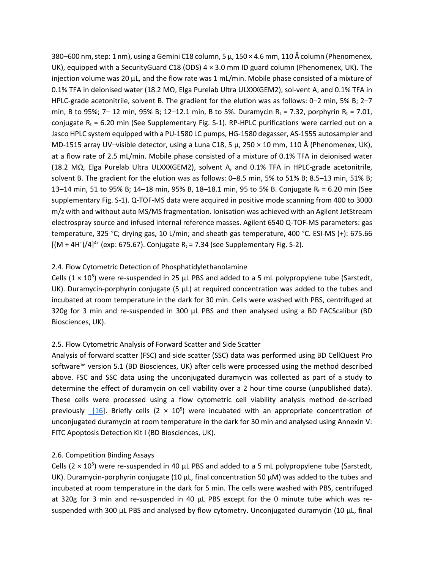380–600 nm, step: 1 nm), using a Gemini C18 column, 5 μ, 150 × 4.6 mm, 110 Å column (Phenomenex, UK), equipped with a SecurityGuard C18 (ODS) 4 × 3.0 mm ID guard column (Phenomenex, UK). The injection volume was 20 μL, and the flow rate was 1 mL/min. Mobile phase consisted of a mixture of 0.1% TFA in deionised water (18.2 MΩ, Elga Purelab Ultra ULXXXGEM2), sol-vent A, and 0.1% TFA in HPLC-grade acetonitrile, solvent B. The gradient for the elution was as follows: 0–2 min, 5% B; 2–7 min, B to 95%; 7– 12 min, 95% B; 12–12.1 min, B to 5%. Duramycin R<sub>t</sub> = 7.32, porphyrin R<sub>t</sub> = 7.01, conjugate  $R_t = 6.20$  min (See Supplementary Fig. S-1). RP-HPLC purifications were carried out on a Jasco HPLC system equipped with a PU-1580 LC pumps, HG-1580 degasser, AS-1555 autosampler and MD-1515 array UV–visible detector, using a Luna C18, 5 μ, 250 × 10 mm, 110 Å (Phenomenex, UK), at a flow rate of 2.5 mL/min. Mobile phase consisted of a mixture of 0.1% TFA in deionised water (18.2 MΩ, Elga Purelab Ultra ULXXXGEM2), solvent A, and 0.1% TFA in HPLC-grade acetonitrile, solvent B. The gradient for the elution was as follows: 0–8.5 min, 5% to 51% B; 8.5–13 min, 51% B; 13–14 min, 51 to 95% B; 14–18 min, 95% B, 18–18.1 min, 95 to 5% B. Conjugate R<sub>t</sub> = 6.20 min (See supplementary Fig. S-1). Q-TOF-MS data were acquired in positive mode scanning from 400 to 3000 m/z with and without auto MS/MS fragmentation. Ionisation was achieved with an Agilent JetStream electrospray source and infused internal reference masses. Agilent 6540 Q-TOF-MS parameters: gas temperature, 325 °C; drying gas, 10 L/min; and sheath gas temperature, 400 °C. ESI-MS (+): 675.66  $[(M + 4H^*)/4]^{4+}$  (exp: 675.67). Conjugate R<sub>t</sub> = 7.34 (see Supplementary Fig. S-2).

## 2.4. Flow Cytometric Detection of Phosphatidylethanolamine

Cells  $(1 \times 10^5)$  were re-suspended in 25  $\mu$ L PBS and added to a 5 mL polypropylene tube (Sarstedt, UK). Duramycin-porphyrin conjugate (5  $\mu$ L) at required concentration was added to the tubes and incubated at room temperature in the dark for 30 min. Cells were washed with PBS, centrifuged at 320g for 3 min and re-suspended in 300 μL PBS and then analysed using a BD FACScalibur (BD Biosciences, UK).

# 2.5. Flow Cytometric Analysis of Forward Scatter and Side Scatter

Analysis of forward scatter (FSC) and side scatter (SSC) data was performed using BD CellQuest Pro software™ version 5.1 (BD Biosciences, UK) after cells were processed using the method described above. FSC and SSC data using the unconjugated duramycin was collected as part of a study to determine the effect of duramycin on cell viability over a 2 hour time course (unpublished data). These cells were processed using a flow cytometric cell viability analysis method de-scribed previously  $[16]$ . Briefly cells (2  $\times$  10<sup>5</sup>) were incubated with an appropriate concentration of unconjugated duramycin at room temperature in the dark for 30 min and analysed using Annexin V: FITC Apoptosis Detection Kit I (BD Biosciences, UK).

## 2.6. Competition Binding Assays

Cells  $(2 \times 10^5)$  were re-suspended in 40  $\mu$ L PBS and added to a 5 mL polypropylene tube (Sarstedt, UK). Duramycin-porphyrin conjugate (10 μL, final concentration 50 μM) was added to the tubes and incubated at room temperature in the dark for 5 min. The cells were washed with PBS, centrifuged at 320g for 3 min and re-suspended in 40 μL PBS except for the 0 minute tube which was resuspended with 300 μL PBS and analysed by flow cytometry. Unconjugated duramycin (10 μL, final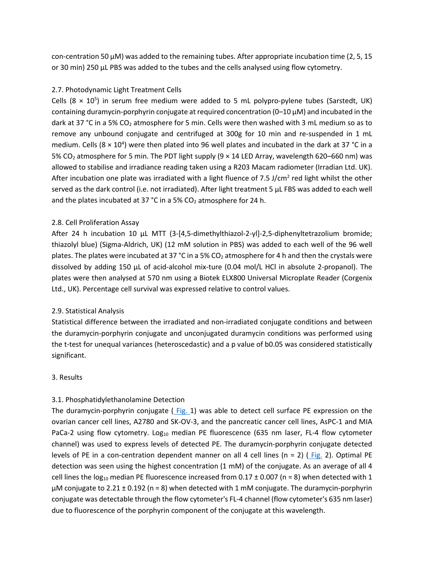con-centration 50 μM) was added to the remaining tubes. After appropriate incubation time (2, 5, 15 or 30 min) 250 μL PBS was added to the tubes and the cells analysed using flow cytometry.

# 2.7. Photodynamic Light Treatment Cells

Cells  $(8 \times 10^5)$  in serum free medium were added to 5 mL polypro-pylene tubes (Sarstedt, UK) containing duramycin-porphyrin conjugate at required concentration (0–10 μM) and incubated in the dark at 37 °C in a 5% CO<sub>2</sub> atmosphere for 5 min. Cells were then washed with 3 mL medium so as to remove any unbound conjugate and centrifuged at 300g for 10 min and re-suspended in 1 mL medium. Cells (8  $\times$  10<sup>4</sup>) were then plated into 96 well plates and incubated in the dark at 37 °C in a 5% CO2 atmosphere for 5 min. The PDT light supply (9 × 14 LED Array, wavelength 620–660 nm) was allowed to stabilise and irradiance reading taken using a R203 Macam radiometer (Irradian Ltd. UK). After incubation one plate was irradiated with a light fluence of 7.5 J/cm<sup>2</sup> red light whilst the other served as the dark control (i.e. not irradiated). After light treatment 5 μL FBS was added to each well and the plates incubated at 37  $^{\circ}$ C in a 5% CO<sub>2</sub> atmosphere for 24 h.

# 2.8. Cell Proliferation Assay

After 24 h incubation 10 μL MTT (3-[4,5-dimethylthiazol-2-yl]-2,5-diphenyltetrazolium bromide; thiazolyl blue) (Sigma-Aldrich, UK) (12 mM solution in PBS) was added to each well of the 96 well plates. The plates were incubated at 37 °C in a 5%  $CO<sub>2</sub>$  atmosphere for 4 h and then the crystals were dissolved by adding 150 μL of acid-alcohol mix-ture (0.04 mol/L HCl in absolute 2-propanol). The plates were then analysed at 570 nm using a Biotek ELX800 Universal Microplate Reader (Corgenix Ltd., UK). Percentage cell survival was expressed relative to control values.

## 2.9. Statistical Analysis

Statistical difference between the irradiated and non-irradiated conjugate conditions and between the duramycin-porphyrin conjugate and unconjugated duramycin conditions was performed using the t-test for unequal variances (heteroscedastic) and a p value of b0.05 was considered statistically significant.

## 3. Results

# 3.1. Phosphatidylethanolamine Detection

The duramycin-porphyrin conjugate ( Fig. 1) was able to detect cell surface PE expression on the ovarian cancer cell lines, A2780 and SK-OV-3, and the pancreatic cancer cell lines, AsPC-1 and MIA PaCa-2 using flow cytometry. Log<sub>10</sub> median PE fluorescence (635 nm laser, FL-4 flow cytometer channel) was used to express levels of detected PE. The duramycin-porphyrin conjugate detected levels of PE in a con-centration dependent manner on all 4 cell lines (n = 2) ( $Fig. 2$ ). Optimal PE detection was seen using the highest concentration (1 mM) of the conjugate. As an average of all 4 cell lines the log<sub>10</sub> median PE fluorescence increased from  $0.17 \pm 0.007$  (n = 8) when detected with 1 μM conjugate to 2.21 ± 0.192 (n = 8) when detected with 1 mM conjugate. The duramycin-porphyrin conjugate was detectable through the flow cytometer's FL-4 channel (flow cytometer's 635 nm laser) due to fluorescence of the porphyrin component of the conjugate at this wavelength.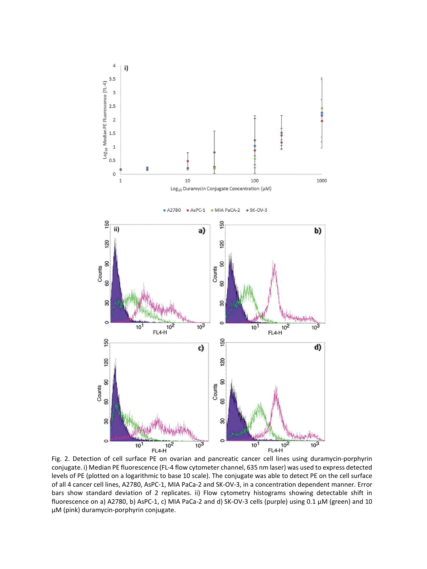

conjugate. i) Median PE fluorescence (FL-4 flow cytometer channel, 635 nm laser) was used to express detected levels of PE (plotted on a logarithmic to base 10 scale). The conjugate was able to detect PE on the cell surface of all 4 cancer cell lines, A2780, AsPC-1, MIA PaCa-2 and SK-OV-3, in a concentration dependent manner. Error bars show standard deviation of 2 replicates. ii) Flow cytometry histograms showing detectable shift in fluorescence on a) A2780, b) AsPC-1, c) MIA PaCa-2 and d) SK-OV-3 cells (purple) using 0.1 μM (green) and 10 μM (pink) duramycin-porphyrin conjugate.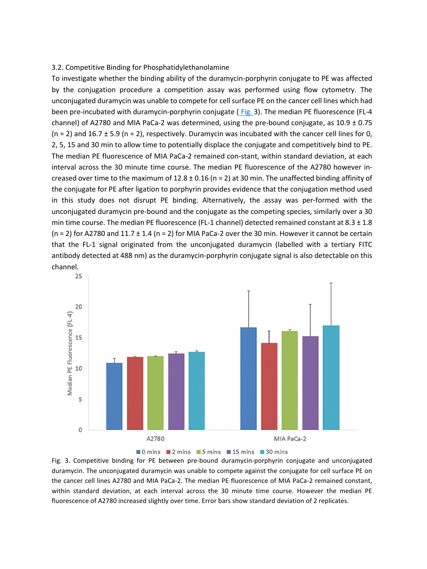#### 3.2. Competitive Binding for Phosphatidylethanolamine

To investigate whether the binding ability of the duramycin-porphyrin conjugate to PE was affected by the conjugation procedure a competition assay was performed using flow cytometry. The unconjugated duramycin was unable to compete for cell surface PE on the cancer cell lines which had been pre-incubated with duramycin-porphyrin conjugate (Fig. 3). The median PE fluorescence (FL-4 channel) of A2780 and MIA PaCa-2 was determined, using the pre-bound conjugate, as  $10.9 \pm 0.75$  $(n = 2)$  and 16.7  $\pm$  5.9 (n = 2), respectively. Duramycin was incubated with the cancer cell lines for 0, 2, 5, 15 and 30 min to allow time to potentially displace the conjugate and competitively bind to PE. The median PE fluorescence of MIA PaCa-2 remained con-stant, within standard deviation, at each interval across the 30 minute time course. The median PE fluorescence of the A2780 however increased over time to the maximum of  $12.8 \pm 0.16$  (n = 2) at 30 min. The unaffected binding affinity of the conjugate for PE after ligation to porphyrin provides evidence that the conjugation method used in this study does not disrupt PE binding. Alternatively, the assay was per-formed with the unconjugated duramycin pre-bound and the conjugate as the competing species, similarly over a 30 min time course. The median PE fluorescence (FL-1 channel) detected remained constant at 8.3 ± 1.8  $(n = 2)$  for A2780 and  $11.7 \pm 1.4$   $(n = 2)$  for MIA PaCa-2 over the 30 min. However it cannot be certain that the FL-1 signal originated from the unconjugated duramycin (labelled with a tertiary FITC antibody detected at 488 nm) as the duramycin-porphyrin conjugate signal is also detectable on this channel.





Fig. 3. Competitive binding for PE between pre-bound duramycin-porphyrin conjugate and unconjugated duramycin. The unconjugated duramycin was unable to compete against the conjugate for cell surface PE on the cancer cell lines A2780 and MIA PaCa-2. The median PE fluorescence of MIA PaCa-2 remained constant, within standard deviation, at each interval across the 30 minute time course. However the median PE fluorescence of A2780 increased slightly over time. Error bars show standard deviation of 2 replicates.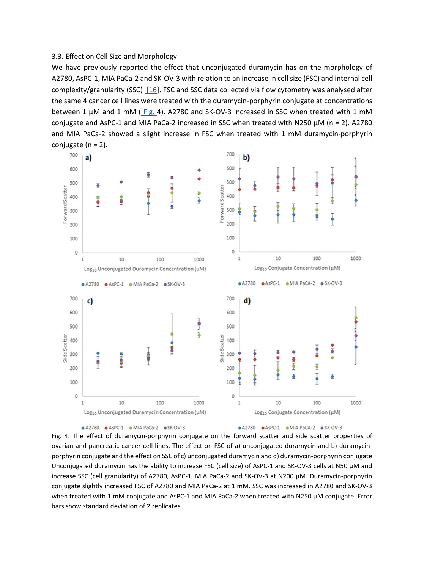## 3.3. Effect on Cell Size and Morphology

We have previously reported the effect that unconjugated duramycin has on the morphology of A2780, AsPC-1, MIA PaCa-2 and SK-OV-3 with relation to an increase in cell size (FSC) and internal cell complexity/granularity (SSC) [16]. FSC and SSC data collected via flow cytometry was analysed after the same 4 cancer cell lines were treated with the duramycin-porphyrin conjugate at concentrations between 1 μM and 1 mM ( Fig. 4). A2780 and SK-OV-3 increased in SSC when treated with 1 mM conjugate and AsPC-1 and MIA PaCa-2 increased in SSC when treated with N250 μM (n = 2). A2780 and MIA PaCa-2 showed a slight increase in FSC when treated with 1 mM duramycin-porphyrin conjugate (n = 2).





● A2780 ● AsPC-1 ● MIA PaCA-2 ● SK-OV-3

Fig. 4. The effect of duramycin-porphyrin conjugate on the forward scatter and side scatter properties of ovarian and pancreatic cancer cell lines. The effect on FSC of a) unconjugated duramycin and b) duramycinporphyrin conjugate and the effect on SSC of c) unconjugated duramycin and d) duramycin-porphyrin conjugate. Unconjugated duramycin has the ability to increase FSC (cell size) of AsPC-1 and SK-OV-3 cells at N50 μM and increase SSC (cell granularity) of A2780, AsPC-1, MIA PaCa-2 and SK-OV-3 at N200 μM. Duramycin-porphyrin conjugate slightly increased FSC of A2780 and MIA PaCa-2 at 1 mM. SSC was increased in A2780 and SK-OV-3 when treated with 1 mM conjugate and AsPC-1 and MIA PaCa-2 when treated with N250 μM conjugate. Error bars show standard deviation of 2 replicates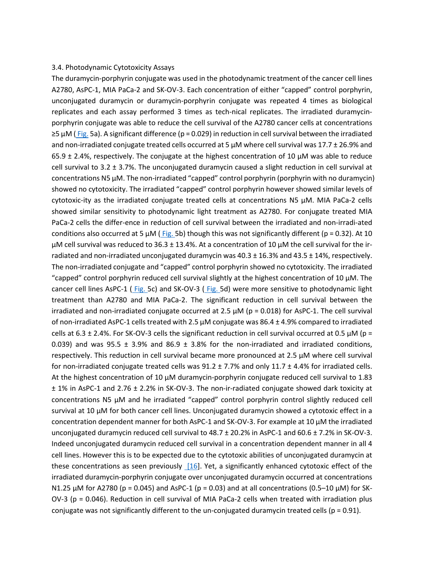#### 3.4. Photodynamic Cytotoxicity Assays

The duramycin-porphyrin conjugate was used in the photodynamic treatment of the cancer cell lines A2780, AsPC-1, MIA PaCa-2 and SK-OV-3. Each concentration of either "capped" control porphyrin, unconjugated duramycin or duramycin-porphyrin conjugate was repeated 4 times as biological replicates and each assay performed 3 times as tech-nical replicates. The irradiated duramycinporphyrin conjugate was able to reduce the cell survival of the A2780 cancer cells at concentrations ≥5 μM ( Fig. 5a). A significant difference (p = 0.029) in reduction in cell survival between the irradiated and non-irradiated conjugate treated cells occurred at 5  $\mu$ M where cell survival was 17.7 ± 26.9% and  $65.9 \pm 2.4$ %, respectively. The conjugate at the highest concentration of 10  $\mu$ M was able to reduce cell survival to 3.2  $\pm$  3.7%. The unconjugated duramycin caused a slight reduction in cell survival at concentrations N5 μM. The non-irradiated "capped" control porphyrin (porphyrin with no duramycin) showed no cytotoxicity. The irradiated "capped" control porphyrin however showed similar levels of cytotoxic-ity as the irradiated conjugate treated cells at concentrations N5 μM. MIA PaCa-2 cells showed similar sensitivity to photodynamic light treatment as A2780. For conjugate treated MIA PaCa-2 cells the differ-ence in reduction of cell survival between the irradiated and non-irradi-ated conditions also occurred at 5  $\mu$ M (Fig. 5b) though this was not significantly different (p = 0.32). At 10 μM cell survival was reduced to 36.3 ± 13.4%. At a concentration of 10 μM the cell survival for the irradiated and non-irradiated unconjugated duramycin was  $40.3 \pm 16.3\%$  and  $43.5 \pm 14\%$ , respectively. The non-irradiated conjugate and "capped" control porphyrin showed no cytotoxicity. The irradiated "capped" control porphyrin reduced cell survival slightly at the highest concentration of 10  $\mu$ M. The cancer cell lines AsPC-1 ( Fig. 5c) and SK-OV-3 ( Fig. 5d) were more sensitive to photodynamic light treatment than A2780 and MIA PaCa-2. The significant reduction in cell survival between the irradiated and non-irradiated conjugate occurred at 2.5  $\mu$ M (p = 0.018) for AsPC-1. The cell survival of non-irradiated AsPC-1 cells treated with 2.5 μM conjugate was 86.4 ± 4.9% compared to irradiated cells at 6.3  $\pm$  2.4%. For SK-OV-3 cells the significant reduction in cell survival occurred at 0.5  $\mu$ M (p = 0.039) and was 95.5  $\pm$  3.9% and 86.9  $\pm$  3.8% for the non-irradiated and irradiated conditions, respectively. This reduction in cell survival became more pronounced at 2.5 μM where cell survival for non-irradiated conjugate treated cells was  $91.2 \pm 7.7\%$  and only  $11.7 \pm 4.4\%$  for irradiated cells. At the highest concentration of 10 μM duramycin-porphyrin conjugate reduced cell survival to 1.83 ± 1% in AsPC-1 and 2.76 ± 2.2% in SK-OV-3. The non-ir-radiated conjugate showed dark toxicity at concentrations N5 μM and he irradiated "capped" control porphyrin control slightly reduced cell survival at 10 μM for both cancer cell lines. Unconjugated duramycin showed a cytotoxic effect in a concentration dependent manner for both AsPC-1 and SK-OV-3. For example at 10 μM the irradiated unconjugated duramycin reduced cell survival to  $48.7 \pm 20.2\%$  in AsPC-1 and  $60.6 \pm 7.2\%$  in SK-OV-3. Indeed unconjugated duramycin reduced cell survival in a concentration dependent manner in all 4 cell lines. However this is to be expected due to the cytotoxic abilities of unconjugated duramycin at these concentrations as seen previously [16]. Yet, a significantly enhanced cytotoxic effect of the irradiated duramycin-porphyrin conjugate over unconjugated duramycin occurred at concentrations N1.25 μM for A2780 (p = 0.045) and AsPC-1 (p = 0.03) and at all concentrations (0.5–10 μM) for SK- $O$ V-3 ( $p = 0.046$ ). Reduction in cell survival of MIA PaCa-2 cells when treated with irradiation plus conjugate was not significantly different to the un-conjugated duramycin treated cells ( $p = 0.91$ ).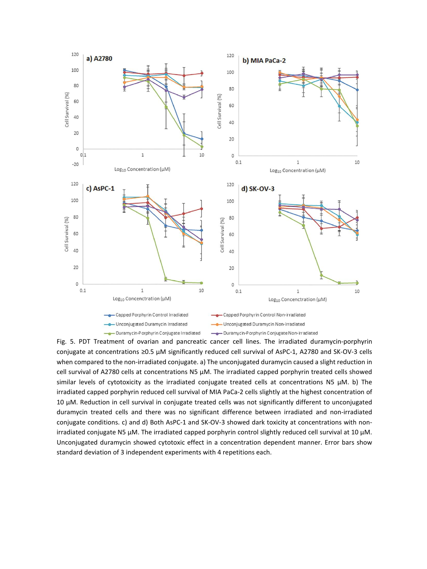

Fig. 5. PDT Treatment of ovarian and pancreatic cancer cell lines. The irradiated duramycin-porphyrin conjugate at concentrations ≥0.5 μM significantly reduced cell survival of AsPC-1, A2780 and SK-OV-3 cells when compared to the non-irradiated conjugate. a) The unconjugated duramycin caused a slight reduction in cell survival of A2780 cells at concentrations N5 μM. The irradiated capped porphyrin treated cells showed similar levels of cytotoxicity as the irradiated conjugate treated cells at concentrations N5  $\mu$ M. b) The irradiated capped porphyrin reduced cell survival of MIA PaCa-2 cells slightly at the highest concentration of 10 μM. Reduction in cell survival in conjugate treated cells was not significantly different to unconjugated duramycin treated cells and there was no significant difference between irradiated and non-irradiated conjugate conditions. c) and d) Both AsPC-1 and SK-OV-3 showed dark toxicity at concentrations with nonirradiated conjugate N5 μM. The irradiated capped porphyrin control slightly reduced cell survival at 10 μM. Unconjugated duramycin showed cytotoxic effect in a concentration dependent manner. Error bars show standard deviation of 3 independent experiments with 4 repetitions each.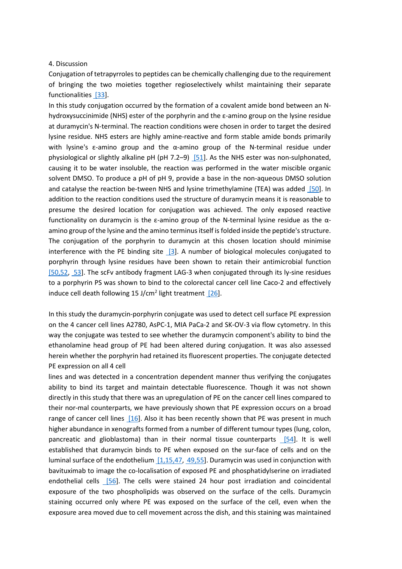## 4. Discussion

Conjugation of tetrapyrroles to peptides can be chemically challenging due to the requirement of bringing the two moieties together regioselectively whilst maintaining their separate functionalities [33].

In this study conjugation occurred by the formation of a covalent amide bond between an Nhydroxysuccinimide (NHS) ester of the porphyrin and the ε-amino group on the lysine residue at duramycin's N-terminal. The reaction conditions were chosen in order to target the desired lysine residue. NHS esters are highly amine-reactive and form stable amide bonds primarily with lysine's  $\varepsilon$ -amino group and the  $\alpha$ -amino group of the N-terminal residue under physiological or slightly alkaline pH (pH 7.2–9) [51]. As the NHS ester was non-sulphonated, causing it to be water insoluble, the reaction was performed in the water miscible organic solvent DMSO. To produce a pH of pH 9, provide a base in the non-aqueous DMSO solution and catalyse the reaction be-tween NHS and lysine trimethylamine (TEA) was added [50]. In addition to the reaction conditions used the structure of duramycin means it is reasonable to presume the desired location for conjugation was achieved. The only exposed reactive functionality on duramycin is the ε-amino group of the N-terminal lysine residue as the αamino group of the lysine and the amino terminus itself is folded inside the peptide's structure. The conjugation of the porphyrin to duramycin at this chosen location should minimise interference with the PE binding site [3]. A number of biological molecules conjugated to porphyrin through lysine residues have been shown to retain their antimicrobial function [50,52, 53]. The scFv antibody fragment LAG-3 when conjugated through its ly-sine residues to a porphyrin PS was shown to bind to the colorectal cancer cell line Caco-2 and effectively induce cell death following 15 J/cm<sup>2</sup> light treatment  $[26]$ .

In this study the duramycin-porphyrin conjugate was used to detect cell surface PE expression on the 4 cancer cell lines A2780, AsPC-1, MIA PaCa-2 and SK-OV-3 via flow cytometry. In this way the conjugate was tested to see whether the duramycin component's ability to bind the ethanolamine head group of PE had been altered during conjugation. It was also assessed herein whether the porphyrin had retained its fluorescent properties. The conjugate detected PE expression on all 4 cell

lines and was detected in a concentration dependent manner thus verifying the conjugates ability to bind its target and maintain detectable fluorescence. Though it was not shown directly in this study that there was an upregulation of PE on the cancer cell lines compared to their nor-mal counterparts, we have previously shown that PE expression occurs on a broad range of cancer cell lines  $[16]$ . Also it has been recently shown that PE was present in much higher abundance in xenografts formed from a number of different tumour types (lung, colon, pancreatic and glioblastoma) than in their normal tissue counterparts [54]. It is well established that duramycin binds to PE when exposed on the sur-face of cells and on the luminal surface of the endothelium [1,15,47, 49,55]. Duramycin was used in conjunction with bavituximab to image the co-localisation of exposed PE and phosphatidylserine on irradiated endothelial cells [56]. The cells were stained 24 hour post irradiation and coincidental exposure of the two phospholipids was observed on the surface of the cells. Duramycin staining occurred only where PE was exposed on the surface of the cell, even when the exposure area moved due to cell movement across the dish, and this staining was maintained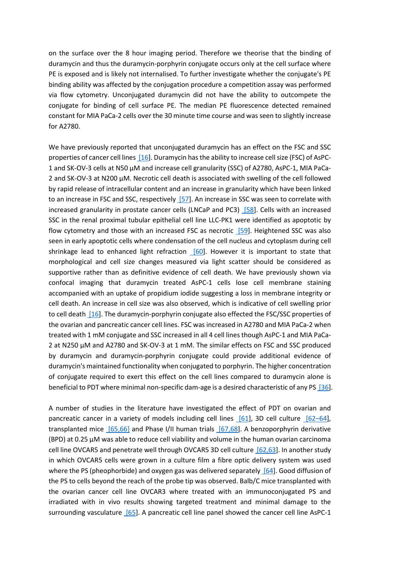on the surface over the 8 hour imaging period. Therefore we theorise that the binding of duramycin and thus the duramycin-porphyrin conjugate occurs only at the cell surface where PE is exposed and is likely not internalised. To further investigate whether the conjugate's PE binding ability was affected by the conjugation procedure a competition assay was performed via flow cytometry. Unconjugated duramycin did not have the ability to outcompete the conjugate for binding of cell surface PE. The median PE fluorescence detected remained constant for MIA PaCa-2 cells over the 30 minute time course and was seen to slightly increase for A2780.

We have previously reported that unconjugated duramycin has an effect on the FSC and SSC properties of cancer cell lines [16]. Duramycin has the ability to increase cell size (FSC) of AsPC-1 and SK-OV-3 cells at N50 μM and increase cell granularity (SSC) of A2780, AsPC-1, MIA PaCa-2 and SK-OV-3 at N200 μM. Necrotic cell death is associated with swelling of the cell followed by rapid release of intracellular content and an increase in granularity which have been linked to an increase in FSC and SSC, respectively [57]. An increase in SSC was seen to correlate with increased granularity in prostate cancer cells (LNCaP and PC3) [58]. Cells with an increased SSC in the renal proximal tubular epithelial cell line LLC-PK1 were identified as apoptotic by flow cytometry and those with an increased FSC as necrotic [59]. Heightened SSC was also seen in early apoptotic cells where condensation of the cell nucleus and cytoplasm during cell shrinkage lead to enhanced light refraction [60]. However it is important to state that morphological and cell size changes measured via light scatter should be considered as supportive rather than as definitive evidence of cell death. We have previously shown via confocal imaging that duramycin treated AsPC-1 cells lose cell membrane staining accompanied with an uptake of propidium iodide suggesting a loss in membrane integrity or cell death. An increase in cell size was also observed, which is indicative of cell swelling prior to cell death [16]. The duramycin-porphyrin conjugate also effected the FSC/SSC properties of the ovarian and pancreatic cancer cell lines. FSC was increased in A2780 and MIA PaCa-2 when treated with 1 mM conjugate and SSC increased in all 4 cell lines though AsPC-1 and MIA PaCa-2 at N250 μM and A2780 and SK-OV-3 at 1 mM. The similar effects on FSC and SSC produced by duramycin and duramycin-porphyrin conjugate could provide additional evidence of duramycin's maintained functionality when conjugated to porphyrin. The higher concentration of conjugate required to exert this effect on the cell lines compared to duramycin alone is beneficial to PDT where minimal non-specific dam-age is a desired characteristic of any PS [36].

A number of studies in the literature have investigated the effect of PDT on ovarian and pancreatic cancer in a variety of models including cell lines  $[61]$ , 3D cell culture  $[62-64]$ , transplanted mice [65,66] and Phase I/II human trials [67,68]. A benzoporphyrin derivative  $(BPD)$  at 0.25  $\mu$ M was able to reduce cell viability and volume in the human ovarian carcinoma cell line OVCAR5 and penetrate well through OVCAR5 3D cell culture [62,63]. In another study in which OVCAR5 cells were grown in a culture film a fibre optic delivery system was used where the PS (pheophorbide) and oxygen gas was delivered separately [64]. Good diffusion of the PS to cells beyond the reach of the probe tip was observed. Balb/C mice transplanted with the ovarian cancer cell line OVCAR3 where treated with an immunoconjugated PS and irradiated with in vivo results showing targeted treatment and minimal damage to the surrounding vasculature [65]. A pancreatic cell line panel showed the cancer cell line AsPC-1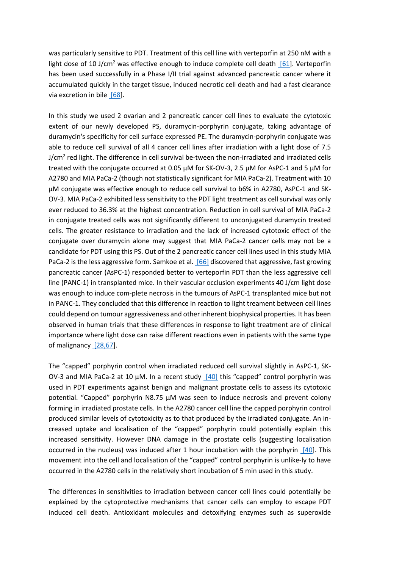was particularly sensitive to PDT. Treatment of this cell line with verteporfin at 250 nM with a light dose of 10 J/cm<sup>2</sup> was effective enough to induce complete cell death  $[61]$ . Verteporfin has been used successfully in a Phase I/II trial against advanced pancreatic cancer where it accumulated quickly in the target tissue, induced necrotic cell death and had a fast clearance via excretion in bile [68].

In this study we used 2 ovarian and 2 pancreatic cancer cell lines to evaluate the cytotoxic extent of our newly developed PS, duramycin-porphyrin conjugate, taking advantage of duramycin's specificity for cell surface expressed PE. The duramycin-porphyrin conjugate was able to reduce cell survival of all 4 cancer cell lines after irradiation with a light dose of 7.5 J/cm<sup>2</sup> red light. The difference in cell survival be-tween the non-irradiated and irradiated cells treated with the conjugate occurred at 0.05 μM for SK-OV-3, 2.5 μM for AsPC-1 and 5 μM for A2780 and MIA PaCa-2 (though not statistically significant for MIA PaCa-2). Treatment with 10 μM conjugate was effective enough to reduce cell survival to b6% in A2780, AsPC-1 and SK-OV-3. MIA PaCa-2 exhibited less sensitivity to the PDT light treatment as cell survival was only ever reduced to 36.3% at the highest concentration. Reduction in cell survival of MIA PaCa-2 in conjugate treated cells was not significantly different to unconjugated duramycin treated cells. The greater resistance to irradiation and the lack of increased cytotoxic effect of the conjugate over duramycin alone may suggest that MIA PaCa-2 cancer cells may not be a candidate for PDT using this PS. Out of the 2 pancreatic cancer cell lines used in this study MIA PaCa-2 is the less aggressive form. Samkoe et al. [66] discovered that aggressive, fast growing pancreatic cancer (AsPC-1) responded better to verteporfin PDT than the less aggressive cell line (PANC-1) in transplanted mice. In their vascular occlusion experiments 40 J/cm light dose was enough to induce com-plete necrosis in the tumours of AsPC-1 transplanted mice but not in PANC-1. They concluded that this difference in reaction to light treament between cell lines could depend on tumour aggressiveness and other inherent biophysical properties. It has been observed in human trials that these differences in response to light treatment are of clinical importance where light dose can raise different reactions even in patients with the same type of malignancy [28,67].

The "capped" porphyrin control when irradiated reduced cell survival slightly in AsPC-1, SK-OV-3 and MIA PaCa-2 at 10  $\mu$ M. In a recent study [40] this "capped" control porphyrin was used in PDT experiments against benign and malignant prostate cells to assess its cytotoxic potential. "Capped" porphyrin N8.75 μM was seen to induce necrosis and prevent colony forming in irradiated prostate cells. In the A2780 cancer cell line the capped porphyrin control produced similar levels of cytotoxicity as to that produced by the irradiated conjugate. An increased uptake and localisation of the "capped" porphyrin could potentially explain this increased sensitivity. However DNA damage in the prostate cells (suggesting localisation occurred in the nucleus) was induced after 1 hour incubation with the porphyrin [40]. This movement into the cell and localisation of the "capped" control porphyrin is unlike-ly to have occurred in the A2780 cells in the relatively short incubation of 5 min used in this study.

The differences in sensitivities to irradiation between cancer cell lines could potentially be explained by the cytoprotective mechanisms that cancer cells can employ to escape PDT induced cell death. Antioxidant molecules and detoxifying enzymes such as superoxide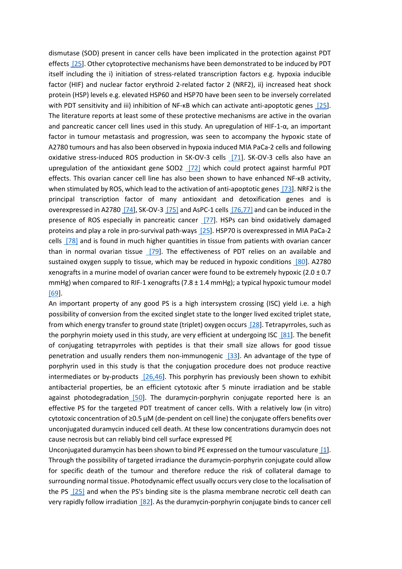dismutase (SOD) present in cancer cells have been implicated in the protection against PDT effects [25]. Other cytoprotective mechanisms have been demonstrated to be induced by PDT itself including the i) initiation of stress-related transcription factors e.g. hypoxia inducible factor (HIF) and nuclear factor erythroid 2-related factor 2 (NRF2), ii) increased heat shock protein (HSP) levels e.g. elevated HSP60 and HSP70 have been seen to be inversely correlated with PDT sensitivity and iii) inhibition of NF- $k$ B which can activate anti-apoptotic genes [25]. The literature reports at least some of these protective mechanisms are active in the ovarian and pancreatic cancer cell lines used in this study. An upregulation of HIF-1- $\alpha$ , an important factor in tumour metastasis and progression, was seen to accompany the hypoxic state of A2780 tumours and has also been observed in hypoxia induced MIA PaCa-2 cells and following oxidative stress-induced ROS production in SK-OV-3 cells [71]. SK-OV-3 cells also have an upregulation of the antioxidant gene SOD2 [72] which could protect against harmful PDT effects. This ovarian cancer cell line has also been shown to have enhanced NF-KB activity, when stimulated by ROS, which lead to the activation of anti-apoptotic genes [73]. NRF2 is the principal transcription factor of many antioxidant and detoxification genes and is overexpressed in A2780 [74], SK-OV-3 [75] and AsPC-1 cells [76,77] and can be induced in the presence of ROS especially in pancreatic cancer [77]. HSPs can bind oxidatively damaged proteins and play a role in pro-survival path-ways [25]. HSP70 is overexpressed in MIA PaCa-2 cells [78] and is found in much higher quantities in tissue from patients with ovarian cancer than in normal ovarian tissue [79]. The effectiveness of PDT relies on an available and sustained oxygen supply to tissue, which may be reduced in hypoxic conditions [80]. A2780 xenografts in a murine model of ovarian cancer were found to be extremely hypoxic  $(2.0 \pm 0.7)$ mmHg) when compared to RIF-1 xenografts  $(7.8 \pm 1.4 \text{ mmHg})$ ; a typical hypoxic tumour model [69].

An important property of any good PS is a high intersystem crossing (ISC) yield i.e. a high possibility of conversion from the excited singlet state to the longer lived excited triplet state, from which energy transfer to ground state (triplet) oxygen occurs [28]. Tetrapyrroles, such as the porphyrin moiety used in this study, are very efficient at undergoing ISC  $[81]$ . The benefit of conjugating tetrapyrroles with peptides is that their small size allows for good tissue penetration and usually renders them non-immunogenic [33]. An advantage of the type of porphyrin used in this study is that the conjugation procedure does not produce reactive intermediates or by-products [26,46]. This porphyrin has previously been shown to exhibit antibacterial properties, be an efficient cytotoxic after 5 minute irradiation and be stable against photodegradation [50]. The duramycin-porphyrin conjugate reported here is an effective PS for the targeted PDT treatment of cancer cells. With a relatively low (in vitro) cytotoxic concentration of ≥0.5 μM (de-pendent on cell line) the conjugate offers benefits over unconjugated duramycin induced cell death. At these low concentrations duramycin does not cause necrosis but can reliably bind cell surface expressed PE

Unconjugated duramycin has been shown to bind PE expressed on the tumour vasculature [1]. Through the possibility of targeted irradiance the duramycin-porphyrin conjugate could allow for specific death of the tumour and therefore reduce the risk of collateral damage to surrounding normal tissue. Photodynamic effect usually occurs very close to the localisation of the PS [25] and when the PS's binding site is the plasma membrane necrotic cell death can very rapidly follow irradiation [82]. As the duramycin-porphyrin conjugate binds to cancer cell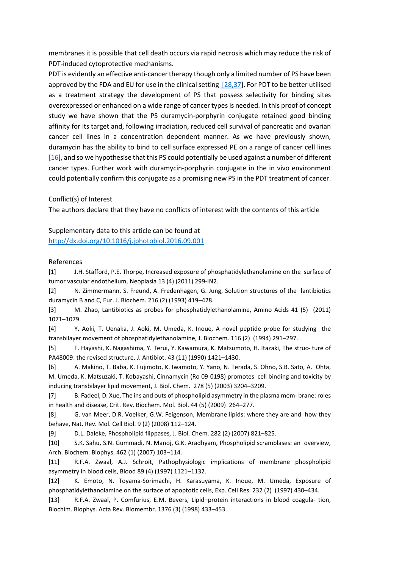membranes it is possible that cell death occurs via rapid necrosis which may reduce the risk of PDT-induced cytoprotective mechanisms.

PDT is evidently an effective anti-cancer therapy though only a limited number of PS have been approved by the FDA and EU for use in the clinical setting [28,37]. For PDT to be better utilised as a treatment strategy the development of PS that possess selectivity for binding sites overexpressed or enhanced on a wide range of cancer types is needed. In this proof of concept study we have shown that the PS duramycin-porphyrin conjugate retained good binding affinity for its target and, following irradiation, reduced cell survival of pancreatic and ovarian cancer cell lines in a concentration dependent manner. As we have previously shown, duramycin has the ability to bind to cell surface expressed PE on a range of cancer cell lines [16], and so we hypothesise that this PS could potentially be used against a number of different cancer types. Further work with duramycin-porphyrin conjugate in the in vivo environment could potentially confirm this conjugate as a promising new PS in the PDT treatment of cancer.

Conflict(s) of Interest

The authors declare that they have no conflicts of interest with the contents of this article

Supplementary data to this article can be found at <http://dx.doi.org/10.1016/j.jphotobiol.2016.09.001>

## References

[1] J.H. Stafford, P.E. Thorpe, Increased exposure of phosphatidylethanolamine on the surface of tumor vascular endothelium, Neoplasia 13 (4) (2011) 299-IN2.

[2] N. Zimmermann, S. Freund, A. Fredenhagen, G. Jung, Solution structures of the lantibiotics duramycin B and C, Eur. J. Biochem. 216 (2) (1993) 419–428.

[3] M. Zhao, Lantibiotics as probes for phosphatidylethanolamine, Amino Acids 41 (5) (2011) 1071–1079.

[4] Y. Aoki, T. Uenaka, J. Aoki, M. Umeda, K. Inoue, A novel peptide probe for studying the transbilayer movement of phosphatidylethanolamine, J. Biochem. 116 (2) (1994) 291–297.

[5] F. Hayashi, K. Nagashima, Y. Terui, Y. Kawamura, K. Matsumoto, H. Itazaki, The struc- ture of PA48009: the revised structure, J. Antibiot. 43 (11) (1990) 1421–1430.

[6] A. Makino, T. Baba, K. Fujimoto, K. Iwamoto, Y. Yano, N. Terada, S. Ohno, S.B. Sato, A. Ohta, M. Umeda, K. Matsuzaki, T. Kobayashi, Cinnamycin (Ro 09-0198) promotes cell binding and toxicity by inducing transbilayer lipid movement, J. Biol. Chem. 278 (5) (2003) 3204–3209.

[7] B. Fadeel, D. Xue, The ins and outs of phospholipid asymmetry in the plasma mem- brane: roles in health and disease, Crit. Rev. Biochem. Mol. Biol. 44 (5) (2009) 264–277.

[8] G. van Meer, D.R. Voelker, G.W. Feigenson, Membrane lipids: where they are and how they behave, Nat. Rev. Mol. Cell Biol. 9 (2) (2008) 112–124.

[9] D.L. Daleke, Phospholipid flippases, J. Biol. Chem. 282 (2) (2007) 821–825.

[10] S.K. Sahu, S.N. Gummadi, N. Manoj, G.K. Aradhyam, Phospholipid scramblases: an overview, Arch. Biochem. Biophys. 462 (1) (2007) 103–114.

[11] R.F.A. Zwaal, A.J. Schroit, Pathophysiologic implications of membrane phospholipid asymmetry in blood cells, Blood 89 (4) (1997) 1121–1132.

[12] K. Emoto, N. Toyama-Sorimachi, H. Karasuyama, K. Inoue, M. Umeda, Exposure of phosphatidylethanolamine on the surface of apoptotic cells, Exp. Cell Res. 232 (2) (1997) 430–434.

[13] R.F.A. Zwaal, P. Comfurius, E.M. Bevers, Lipid–protein interactions in blood coagula- tion, Biochim. Biophys. Acta Rev. Biomembr. 1376 (3) (1998) 433–453.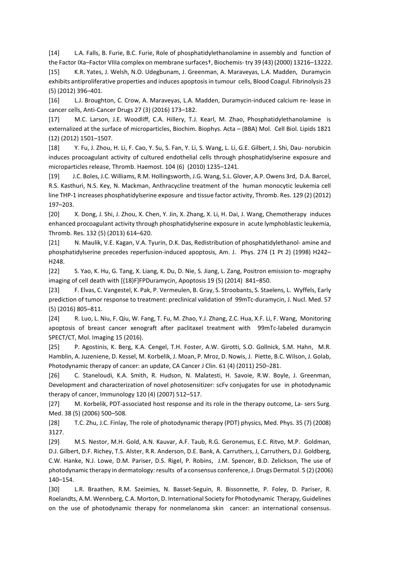[14] L.A. Falls, B. Furie, B.C. Furie, Role of phosphatidylethanolamine in assembly and function of the Factor IXa–Factor VIIIa complex on membrane surfaces†, Biochemis- try 39 (43) (2000) 13216–13222.

[15] K.R. Yates, J. Welsh, N.O. Udegbunam, J. Greenman, A. Maraveyas, L.A. Madden, Duramycin exhibits antiproliferative properties and induces apoptosis in tumour cells, Blood Coagul. Fibrinolysis 23 (5) (2012) 396–401.

[16] L.J. Broughton, C. Crow, A. Maraveyas, L.A. Madden, Duramycin-induced calcium re- lease in cancer cells, Anti-Cancer Drugs 27 (3) (2016) 173–182.

[17] M.C. Larson, J.E. Woodliff, C.A. Hillery, T.J. Kearl, M. Zhao, Phosphatidylethanolamine is externalized at the surface of microparticles, Biochim. Biophys. Acta – (BBA) Mol. Cell Biol. Lipids 1821 (12) (2012) 1501–1507.

[18] Y. Fu, J. Zhou, H. Li, F. Cao, Y. Su, S. Fan, Y. Li, S. Wang, L. Li, G.E. Gilbert, J. Shi, Dau- norubicin induces procoagulant activity of cultured endothelial cells through phosphatidylserine exposure and microparticles release, Thromb. Haemost. 104 (6) (2010) 1235–1241.

[19] J.C. Boles, J.C. Williams, R.M. Hollingsworth, J.G. Wang, S.L. Glover, A.P. Owens 3rd, D.A. Barcel, R.S. Kasthuri, N.S. Key, N. Mackman, Anthracycline treatment of the human monocytic leukemia cell line THP-1 increases phosphatidylserine exposure and tissue factor activity, Thromb. Res. 129 (2) (2012) 197–203.

[20] X. Dong, J. Shi, J. Zhou, X. Chen, Y. Jin, X. Zhang, X. Li, H. Dai, J. Wang, Chemotherapy induces enhanced procoagulant activity through phosphatidylserine exposure in acute lymphoblastic leukemia, Thromb. Res. 132 (5) (2013) 614–620.

[21] N. Maulik, V.E. Kagan, V.A. Tyurin, D.K. Das, Redistribution of phosphatidylethanol- amine and phosphatidylserine precedes reperfusion-induced apoptosis, Am. J. Phys. 274 (1 Pt 2) (1998) H242– H248.

[22] S. Yao, K. Hu, G. Tang, X. Liang, K. Du, D. Nie, S. Jiang, L. Zang, Positron emission to- mography imaging of cell death with [(18)F]FPDuramycin, Apoptosis 19 (5) (2014) 841–850.

[23] F. Elvas, C. Vangestel, K. Pak, P. Vermeulen, B. Gray, S. Stroobants, S. Staelens, L. Wyffels, Early prediction of tumor response to treatment: preclinical validation of 99mTc-duramycin, J. Nucl. Med. 57 (5) (2016) 805–811.

[24] R. Luo, L. Niu, F. Qiu, W. Fang, T. Fu, M. Zhao, Y.J. Zhang, Z.C. Hua, X.F. Li, F. Wang, Monitoring apoptosis of breast cancer xenograft after paclitaxel treatment with 99mTc-labeled duramycin SPECT/CT, Mol. Imaging 15 (2016).

[25] P. Agostinis, K. Berg, K.A. Cengel, T.H. Foster, A.W. Girotti, S.O. Gollnick, S.M. Hahn, M.R. Hamblin, A. Juzeniene, D. Kessel, M. Korbelik, J. Moan, P. Mroz, D. Nowis, J. Piette, B.C. Wilson, J. Golab, Photodynamic therapy of cancer: an update, CA Cancer J Clin. 61 (4) (2011) 250–281.

[26] C. Staneloudi, K.A. Smith, R. Hudson, N. Malatesti, H. Savoie, R.W. Boyle, J. Greenman, Development and characterization of novel photosensitizer: scFv conjugates for use in photodynamic therapy of cancer, Immunology 120 (4) (2007) 512–517.

[27] M. Korbelik, PDT-associated host response and its role in the therapy outcome, La- sers Surg. Med. 38 (5) (2006) 500–508.

[28] T.C. Zhu, J.C. Finlay, The role of photodynamic therapy (PDT) physics, Med. Phys. 35 (7) (2008) 3127.

[29] M.S. Nestor, M.H. Gold, A.N. Kauvar, A.F. Taub, R.G. Geronemus, E.C. Ritvo, M.P. Goldman, D.J. Gilbert, D.F. Richey, T.S. Alster, R.R. Anderson, D.E. Bank, A. Carruthers, J, Carruthers, D.J. Goldberg, C.W. Hanke, N.J. Lowe, D.M. Pariser, D.S. Rigel, P. Robins, J.M. Spencer, B.D. Zelickson, The use of photodynamic therapy in dermatology: results of a consensus conference, J. Drugs Dermatol. 5 (2) (2006) 140–154.

[30] L.R. Braathen, R.M. Szeimies, N. Basset-Seguin, R. Bissonnette, P. Foley, D. Pariser, R. Roelandts, A.M. Wennberg, C.A. Morton, D. International Society for Photodynamic Therapy, Guidelines on the use of photodynamic therapy for nonmelanoma skin cancer: an international consensus.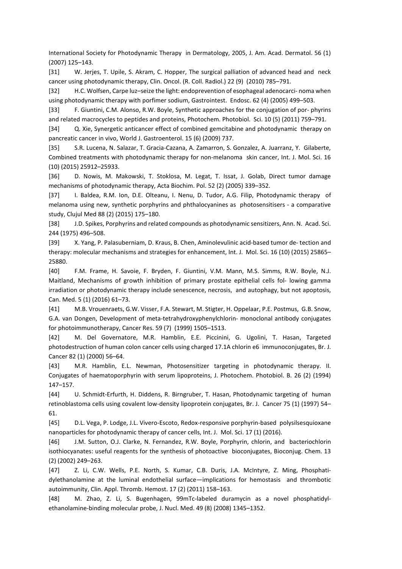International Society for Photodynamic Therapy in Dermatology, 2005, J. Am. Acad. Dermatol. 56 (1) (2007) 125–143.

[31] W. Jerjes, T. Upile, S. Akram, C. Hopper, The surgical palliation of advanced head and neck cancer using photodynamic therapy, Clin. Oncol. (R. Coll. Radiol.) 22 (9) (2010) 785–791.

[32] H.C. Wolfsen, Carpe luz–seize the light: endoprevention of esophageal adenocarci- noma when using photodynamic therapy with porfimer sodium, Gastrointest. Endosc. 62 (4) (2005) 499–503.

[33] F. Giuntini, C.M. Alonso, R.W. Boyle, Synthetic approaches for the conjugation of por- phyrins and related macrocycles to peptides and proteins, Photochem. Photobiol. Sci. 10 (5) (2011) 759–791.

[34] Q. Xie, Synergetic anticancer effect of combined gemcitabine and photodynamic therapy on pancreatic cancer in vivo, World J. Gastroenterol. 15 (6) (2009) 737.

[35] S.R. Lucena, N. Salazar, T. Gracia-Cazana, A. Zamarron, S. Gonzalez, A. Juarranz, Y. Gilaberte, Combined treatments with photodynamic therapy for non-melanoma skin cancer, Int. J. Mol. Sci. 16 (10) (2015) 25912–25933.

[36] D. Nowis, M. Makowski, T. Stoklosa, M. Legat, T. Issat, J. Golab, Direct tumor damage mechanisms of photodynamic therapy, Acta Biochim. Pol. 52 (2) (2005) 339–352.

[37] I. Baldea, R.M. Ion, D.E. Olteanu, I. Nenu, D. Tudor, A.G. Filip, Photodynamic therapy of melanoma using new, synthetic porphyrins and phthalocyanines as photosensitisers - a comparative study, Clujul Med 88 (2) (2015) 175–180.

[38] J.D. Spikes, Porphyrins and related compounds as photodynamic sensitizers, Ann. N. Acad. Sci. 244 (1975) 496–508.

[39] X. Yang, P. Palasuberniam, D. Kraus, B. Chen, Aminolevulinic acid-based tumor de- tection and therapy: molecular mechanisms and strategies for enhancement, Int. J. Mol. Sci. 16 (10) (2015) 25865– 25880.

[40] F.M. Frame, H. Savoie, F. Bryden, F. Giuntini, V.M. Mann, M.S. Simms, R.W. Boyle, N.J. Maitland, Mechanisms of growth inhibition of primary prostate epithelial cells fol- lowing gamma irradiation or photodynamic therapy include senescence, necrosis, and autophagy, but not apoptosis, Can. Med. 5 (1) (2016) 61–73.

[41] M.B. Vrouenraets, G.W. Visser, F.A. Stewart, M. Stigter, H. Oppelaar, P.E. Postmus, G.B. Snow, G.A. van Dongen, Development of meta-tetrahydroxyphenylchlorin- monoclonal antibody conjugates for photoimmunotherapy, Cancer Res. 59 (7) (1999) 1505–1513.

[42] M. Del Governatore, M.R. Hamblin, E.E. Piccinini, G. Ugolini, T. Hasan, Targeted photodestruction of human colon cancer cells using charged 17.1A chlorin e6 immunoconjugates, Br. J. Cancer 82 (1) (2000) 56–64.

[43] M.R. Hamblin, E.L. Newman, Photosensitizer targeting in photodynamic therapy. II. Conjugates of haematoporphyrin with serum lipoproteins, J. Photochem. Photobiol. B. 26 (2) (1994) 147–157.

[44] U. Schmidt-Erfurth, H. Diddens, R. Birngruber, T. Hasan, Photodynamic targeting of human retinoblastoma cells using covalent low-density lipoprotein conjugates, Br. J. Cancer 75 (1) (1997) 54– 61.

[45] D.L. Vega, P. Lodge, J.L. Vivero-Escoto, Redox-responsive porphyrin-based polysilsesquioxane nanoparticles for photodynamic therapy of cancer cells, Int. J. Mol. Sci. 17 (1) (2016).

[46] J.M. Sutton, O.J. Clarke, N. Fernandez, R.W. Boyle, Porphyrin, chlorin, and bacteriochlorin isothiocyanates: useful reagents for the synthesis of photoactive bioconjugates, Bioconjug. Chem. 13 (2) (2002) 249–263.

[47] Z. Li, C.W. Wells, P.E. North, S. Kumar, C.B. Duris, J.A. McIntyre, Z. Ming, Phosphatidylethanolamine at the luminal endothelial surface—implications for hemostasis and thrombotic autoimmunity, Clin. Appl. Thromb. Hemost. 17 (2) (2011) 158–163.

[48] M. Zhao, Z. Li, S. Bugenhagen, 99mTc-labeled duramycin as a novel phosphatidylethanolamine-binding molecular probe, J. Nucl. Med. 49 (8) (2008) 1345–1352.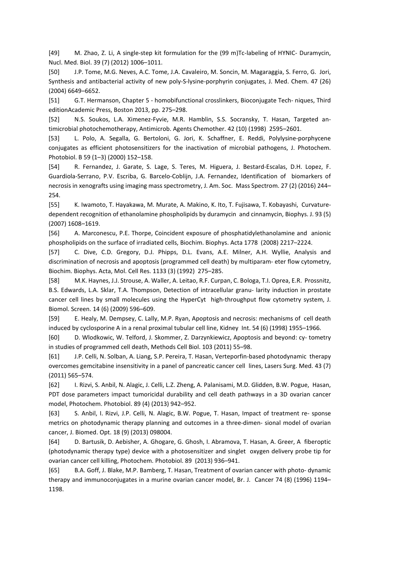[49] M. Zhao, Z. Li, A single-step kit formulation for the (99 m)Tc-labeling of HYNIC- Duramycin, Nucl. Med. Biol. 39 (7) (2012) 1006–1011.

[50] J.P. Tome, M.G. Neves, A.C. Tome, J.A. Cavaleiro, M. Soncin, M. Magaraggia, S. Ferro, G. Jori, Synthesis and antibacterial activity of new poly-S-lysine-porphyrin conjugates, J. Med. Chem. 47 (26) (2004) 6649–6652.

[51] G.T. Hermanson, Chapter 5 - homobifunctional crosslinkers, Bioconjugate Tech- niques, Third editionAcademic Press, Boston 2013, pp. 275–298.

[52] N.S. Soukos, L.A. Ximenez-Fyvie, M.R. Hamblin, S.S. Socransky, T. Hasan, Targeted antimicrobial photochemotherapy, Antimicrob. Agents Chemother. 42 (10) (1998) 2595–2601.

[53] L. Polo, A. Segalla, G. Bertoloni, G. Jori, K. Schaffner, E. Reddi, Polylysine-porphycene conjugates as efficient photosensitizers for the inactivation of microbial pathogens, J. Photochem. Photobiol. B 59 (1–3) (2000) 152–158.

[54] R. Fernandez, J. Garate, S. Lage, S. Teres, M. Higuera, J. Bestard-Escalas, D.H. Lopez, F. Guardiola-Serrano, P.V. Escriba, G. Barcelo-Coblijn, J.A. Fernandez, Identification of biomarkers of necrosis in xenografts using imaging mass spectrometry, J. Am. Soc. Mass Spectrom. 27 (2) (2016) 244– 254.

[55] K. Iwamoto, T. Hayakawa, M. Murate, A. Makino, K. Ito, T. Fujisawa, T. Kobayashi, Curvaturedependent recognition of ethanolamine phospholipids by duramycin and cinnamycin, Biophys. J. 93 (5) (2007) 1608–1619.

[56] A. Marconescu, P.E. Thorpe, Coincident exposure of phosphatidylethanolamine and anionic phospholipids on the surface of irradiated cells, Biochim. Biophys. Acta 1778 (2008) 2217–2224.

[57] C. Dive, C.D. Gregory, D.J. Phipps, D.L. Evans, A.E. Milner, A.H. Wyllie, Analysis and discrimination of necrosis and apoptosis (programmed cell death) by multiparam- eter flow cytometry, Biochim. Biophys. Acta, Mol. Cell Res. 1133 (3) (1992) 275–285.

[58] M.K. Haynes, J.J. Strouse, A. Waller, A. Leitao, R.F. Curpan, C. Bologa, T.I. Oprea, E.R. Prossnitz, B.S. Edwards, L.A. Sklar, T.A. Thompson, Detection of intracellular granu- larity induction in prostate cancer cell lines by small molecules using the HyperCyt high-throughput flow cytometry system, J. Biomol. Screen. 14 (6) (2009) 596–609.

[59] E. Healy, M. Dempsey, C. Lally, M.P. Ryan, Apoptosis and necrosis: mechanisms of cell death induced by cyclosporine A in a renal proximal tubular cell line, Kidney Int. 54 (6) (1998) 1955–1966.

[60] D. Wlodkowic, W. Telford, J. Skommer, Z. Darzynkiewicz, Apoptosis and beyond: cy- tometry in studies of programmed cell death, Methods Cell Biol. 103 (2011) 55–98.

[61] J.P. Celli, N. Solban, A. Liang, S.P. Pereira, T. Hasan, Verteporfin-based photodynamic therapy overcomes gemcitabine insensitivity in a panel of pancreatic cancer cell lines, Lasers Surg. Med. 43 (7) (2011) 565–574.

[62] I. Rizvi, S. Anbil, N. Alagic, J. Celli, L.Z. Zheng, A. Palanisami, M.D. Glidden, B.W. Pogue, Hasan, PDT dose parameters impact tumoricidal durability and cell death pathways in a 3D ovarian cancer model, Photochem. Photobiol. 89 (4) (2013) 942–952.

[63] S. Anbil, I. Rizvi, J.P. Celli, N. Alagic, B.W. Pogue, T. Hasan, Impact of treatment re- sponse metrics on photodynamic therapy planning and outcomes in a three-dimen- sional model of ovarian cancer, J. Biomed. Opt. 18 (9) (2013) 098004.

[64] D. Bartusik, D. Aebisher, A. Ghogare, G. Ghosh, I. Abramova, T. Hasan, A. Greer, A fiberoptic (photodynamic therapy type) device with a photosensitizer and singlet oxygen delivery probe tip for ovarian cancer cell killing, Photochem. Photobiol. 89 (2013) 936–941.

[65] B.A. Goff, J. Blake, M.P. Bamberg, T. Hasan, Treatment of ovarian cancer with photo- dynamic therapy and immunoconjugates in a murine ovarian cancer model, Br. J. Cancer 74 (8) (1996) 1194– 1198.